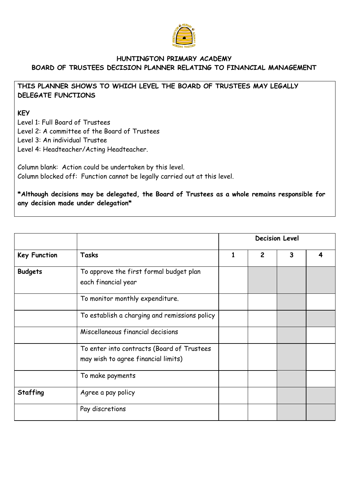

## **HUNTINGTON PRIMARY ACADEMY BOARD OF TRUSTEES DECISION PLANNER RELATING TO FINANCIAL MANAGEMENT**

## **THIS PLANNER SHOWS TO WHICH LEVEL THE BOARD OF TRUSTEES MAY LEGALLY DELEGATE FUNCTIONS**

## **KEY**

Level 1: Full Board of Trustees Level 2: A committee of the Board of Trustees Level 3: An individual Trustee Level 4: Headteacher/Acting Headteacher.

Column blank: Action could be undertaken by this level. Column blocked off: Function cannot be legally carried out at this level.

**\*Although decisions may be delegated, the Board of Trustees as a whole remains responsible for any decision made under delegation\***

| <b>Key Function</b> | Tasks                                                                             | <b>Decision Level</b> |                |              |  |  |
|---------------------|-----------------------------------------------------------------------------------|-----------------------|----------------|--------------|--|--|
|                     |                                                                                   | 1                     | $\overline{2}$ | $\mathbf{3}$ |  |  |
| <b>Budgets</b>      | To approve the first formal budget plan<br>each financial year                    |                       |                |              |  |  |
|                     | To monitor monthly expenditure.                                                   |                       |                |              |  |  |
|                     | To establish a charging and remissions policy                                     |                       |                |              |  |  |
|                     | Miscellaneous financial decisions                                                 |                       |                |              |  |  |
|                     | To enter into contracts (Board of Trustees<br>may wish to agree financial limits) |                       |                |              |  |  |
|                     | To make payments                                                                  |                       |                |              |  |  |
| <b>Staffing</b>     | Agree a pay policy                                                                |                       |                |              |  |  |
|                     | Pay discretions                                                                   |                       |                |              |  |  |